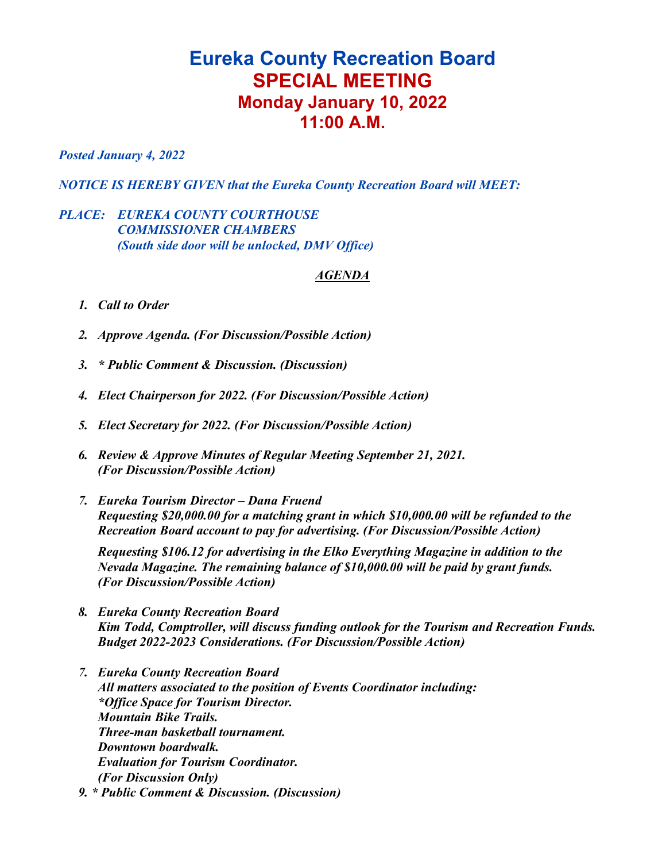## **Eureka County Recreation Board SPECIAL MEETING Monday January 10, 2022 11:00 A.M.**

*Posted January 4, 2022*

*NOTICE IS HEREBY GIVEN that the Eureka County Recreation Board will MEET:*

## *PLACE: EUREKA COUNTY COURTHOUSE COMMISSIONER CHAMBERS (South side door will be unlocked, DMV Office)*

## *AGENDA*

- *1. Call to Order*
- *2. Approve Agenda. (For Discussion/Possible Action)*
- *3. \* Public Comment & Discussion. (Discussion)*
- *4. Elect Chairperson for 2022. (For Discussion/Possible Action)*
- *5. Elect Secretary for 2022. (For Discussion/Possible Action)*
- *6. Review & Approve Minutes of Regular Meeting September 21, 2021. (For Discussion/Possible Action)*
- *7. Eureka Tourism Director – Dana Fruend Requesting \$20,000.00 for a matching grant in which \$10,000.00 will be refunded to the Recreation Board account to pay for advertising. (For Discussion/Possible Action)*

*Requesting \$106.12 for advertising in the Elko Everything Magazine in addition to the Nevada Magazine. The remaining balance of \$10,000.00 will be paid by grant funds. (For Discussion/Possible Action)*

- *8. Eureka County Recreation Board Kim Todd, Comptroller, will discuss funding outlook for the Tourism and Recreation Funds. Budget 2022-2023 Considerations. (For Discussion/Possible Action)*
- *7. Eureka County Recreation Board All matters associated to the position of Events Coordinator including: \*Office Space for Tourism Director. Mountain Bike Trails. Three-man basketball tournament. Downtown boardwalk. Evaluation for Tourism Coordinator. (For Discussion Only) 9. \* Public Comment & Discussion. (Discussion)*